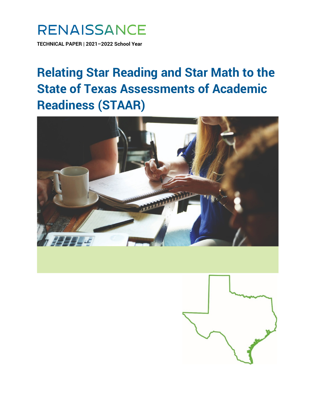

**TECHNICAL PAPER | 2021–2022 School Year**

# **Relating Star Reading and Star Math to the State of Texas Assessments of Academic Readiness (STAAR)**



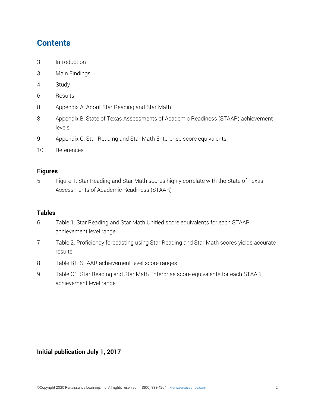# **Contents**

- 3 Introduction
- 3 Main Findings
- 4 Study
- 6 Results
- 8 Appendix A: About Star Reading and Star Math
- 8 Appendix B: State of Texas Assessments of Academic Readiness (STAAR) achievement levels
- 9 Appendix C: Star Reading and Star Math Enterprise score equivalents
- 10 References

#### **Figures**

5 Figure 1. Star Reading and Star Math scores highly correlate with the State of Texas Assessments of Academic Readiness (STAAR)

#### **Tables**

- 6 Table 1. Star Reading and Star Math Unified score equivalents for each STAAR achievement level range
- 7 Table 2. Proficiency forecasting using Star Reading and Star Math scores yields accurate results
- 8 Table B1. STAAR achievement level score ranges
- 9 Table C1. Star Reading and Star Math Enterprise score equivalents for each STAAR achievement level range

### **Initial publication July 1, 2017**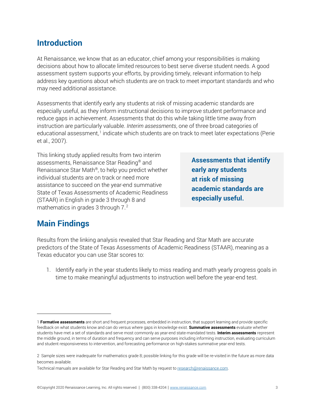## **Introduction**

At Renaissance, we know that as an educator, chief among your responsibilities is making decisions about how to allocate limited resources to best serve diverse student needs. A good assessment system supports your efforts, by providing timely, relevant information to help address key questions about which students are on track to meet important standards and who may need additional assistance.

Assessments that identify early any students at risk of missing academic standards are especially useful, as they inform instructional decisions to improve student performance and reduce gaps in achievement. Assessments that do this while taking little time away from instruction are particularly valuable. *Interim assessments*, one of three broad categories of educational assessment,1 indicate which students are on track to meet later expectations (Perie et al., 2007).

This linking study applied results from two interim assessments, Renaissance Star Reading® and Renaissance Star Math®, to help you predict whether individual students are on track or need more assistance to succeed on the year-end summative State of Texas Assessments of Academic Readiness (STAAR) in English in grade 3 through 8 and mathematics in grades 3 through 7. $^2$ 

**Assessments that identify early any students at risk of missing academic standards are especially useful.**

# **Main Findings**

Results from the linking analysis revealed that Star Reading and Star Math are accurate predictors of the State of Texas Assessments of Academic Readiness (STAAR), meaning as a Texas educator you can use Star scores to:

1. Identify early in the year students likely to miss reading and math yearly progress goals in time to make meaningful adjustments to instruction well before the year-end test.

<sup>1</sup> **Formative assessments** are short and frequent processes, embedded in instruction, that support learning and provide specific feedback on what students know and can do versus where gaps in knowledge exist. **Summative assessments** evaluate whether students have met a set of standards and serve most commonly as year-end state-mandated tests. **Interim assessments** represent the middle ground, in terms of duration and frequency and can serve purposes including informing instruction, evaluating curriculum and student responsiveness to intervention, and forecasting performance on high-stakes summative year-end tests.

<sup>2</sup> Sample sizes were inadequate for mathematics grade 8; possible linking for this grade will be re-visited in the future as more data becomes available.

Technical manuals are available for Star Reading and Star Math by request t[o research@renaissance.com.](mailto:research@renaissance.com)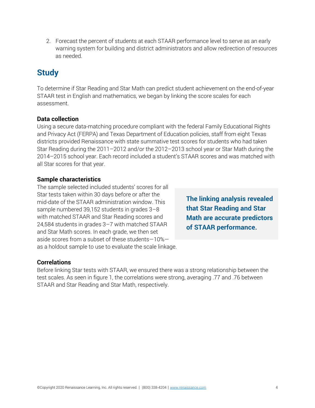2. Forecast the percent of students at each STAAR performance level to serve as an early warning system for building and district administrators and allow redirection of resources as needed.

# **Study**

To determine if Star Reading and Star Math can predict student achievement on the end-of-year STAAR test in English and mathematics, we began by linking the score scales for each assessment.

### **Data collection**

Using a secure data-matching procedure compliant with the federal Family Educational Rights and Privacy Act (FERPA) and Texas Department of Education policies, staff from eight Texas districts provided Renaissance with state summative test scores for students who had taken Star Reading during the 2011–2012 and/or the 2012–2013 school year or Star Math during the 2014–2015 school year. Each record included a student's STAAR scores and was matched with all Star scores for that year.

### **Sample characteristics**

The sample selected included students' scores for all Star tests taken within 30 days before or after the mid-date of the STAAR administration window. This sample numbered 39,152 students in grades 3–8 with matched STAAR and Star Reading scores and 24,584 students in grades 3–7 with matched STAAR and Star Math scores. In each grade, we then set aside scores from a subset of these students—10% as a holdout sample to use to evaluate the scale linkage.

**The linking analysis revealed that Star Reading and Star Math are accurate predictors of STAAR performance.**

### **Correlations**

Before linking Star tests with STAAR, we ensured there was a strong relationship between the test scales. As seen in figure 1, the correlations were strong, averaging .77 and .76 between STAAR and Star Reading and Star Math, respectively.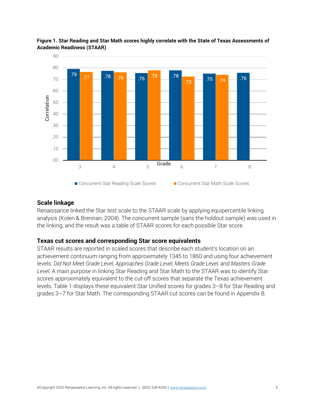

**Figure 1. Star Reading and Star Math scores highly correlate with the State of Texas Assessments of Academic Readiness (STAAR)**

#### **Scale linkage**

Renaissance linked the Star test scale to the STAAR scale by applying equipercentile linking analysis (Kolen & Brennan, 2004). The concurrent sample (sans the holdout sample) was used in the linking, and the result was a table of STAAR scores for each possible Star score.

#### **Texas cut scores and corresponding Star score equivalents**

STAAR results are reported in scaled scores that describe each student's location on an achievement continuum ranging from approximately 1345 to 1860 and using four achievement levels: *Did Not Meet Grade Level, Approaches Grade Level, Meets Grade Level, and Masters Grade Level.* A main purpose in linking Star Reading and Star Math to the STAAR was to identify Star scores approximately equivalent to the cut-off scores that separate the Texas achievement levels. Table 1 displays these equivalent Star Unified scores for grades 3–8 for Star Reading and grades 3–7 for Star Math. The corresponding STAAR cut scores can be found in Appendix B.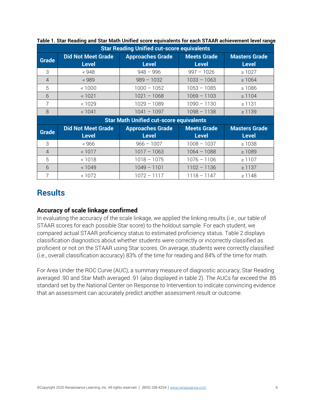| <b>Star Reading Unified cut-score equivalents</b> |                                           |                                         |                                    |                                      |  |
|---------------------------------------------------|-------------------------------------------|-----------------------------------------|------------------------------------|--------------------------------------|--|
| <b>Grade</b>                                      | <b>Did Not Meet Grade</b><br><b>Level</b> | <b>Approaches Grade</b><br><b>Level</b> | <b>Meets Grade</b><br><b>Level</b> | <b>Masters Grade</b><br><b>Level</b> |  |
| 3                                                 | < 948                                     | $948 - 996$                             | $997 - 1026$                       | $\geq 1027$                          |  |
| $\overline{4}$                                    | < 989                                     | $989 - 1032$                            | $1033 - 1063$                      | $\geq 1064$                          |  |
| 5                                                 | < 1000                                    | $1000 - 1052$                           | $1053 - 1085$                      | $\geq 1086$                          |  |
| 6                                                 | < 1021                                    | $1021 - 1068$                           | $1069 - 1103$                      | $\geq 1104$                          |  |
| $\overline{7}$                                    | < 1029                                    | $1029 - 1089$                           | $1090 - 1130$                      | $\geq$ 1131                          |  |
| 8                                                 | < 1041                                    | $1041 - 1097$                           | $1098 - 1138$                      | $\geq 1139$                          |  |
| <b>Star Math Unified cut-score equivalents</b>    |                                           |                                         |                                    |                                      |  |
| <b>Grade</b>                                      | <b>Did Not Meet Grade</b>                 | <b>Approaches Grade</b>                 | <b>Meets Grade</b>                 | <b>Masters Grade</b>                 |  |
|                                                   | <b>Level</b>                              | <b>Level</b>                            | <b>Level</b>                       | <b>Level</b>                         |  |
| 3                                                 | < 966                                     | $966 - 1007$                            | $1008 - 1037$                      | $\geq 1038$                          |  |
| $\overline{4}$                                    | < 1017                                    | $1017 - 1063$                           | $1064 - 1088$                      | $\geq 1089$                          |  |
| 5                                                 | < 1018                                    | $1018 - 1075$                           | $1076 - 1106$                      | $\geq 1107$                          |  |
| 6                                                 | < 1049                                    | $1049 - 1101$                           | $1102 - 1136$                      | $\geq 1137$                          |  |
| 7                                                 | < 1072                                    | $1072 - 1117$                           | $1118 - 1147$                      | $\geq 1148$                          |  |

### **Table 1. Star Reading and Star Math Unified score equivalents for each STAAR achievement level range**

## **Results**

### **Accuracy of scale linkage confirmed**

In evaluating the accuracy of the scale linkage, we applied the linking results (i.e., our table of STAAR scores for each possible Star score) to the holdout sample. For each student, we compared actual STAAR proficiency status to estimated proficiency status. Table 2 displays classification diagnostics about whether students were correctly or incorrectly classified as proficient or not on the STAAR using Star scores. On average, students were correctly classified (i.e., overall classification accuracy) 83% of the time for reading and 84% of the time for math.

For Area Under the ROC Curve (AUC), a summary measure of diagnostic accuracy, Star Reading averaged .90 and Star Math averaged .91 (also displayed in table 2). The AUCs far exceed the .85 standard set by the National Center on Response to Intervention to indicate convincing evidence that an assessment can accurately predict another assessment result or outcome.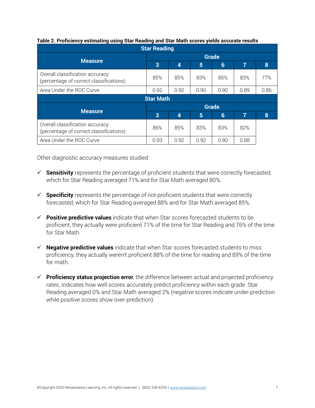| <b>Star Reading</b>                                                        |              |      |      |                 |      |      |  |
|----------------------------------------------------------------------------|--------------|------|------|-----------------|------|------|--|
|                                                                            | <b>Grade</b> |      |      |                 |      |      |  |
| <b>Measure</b>                                                             | 3            | 4    | 5    | $6\phantom{1}$  | 7    | 8    |  |
| Overall classification accuracy<br>(percentage of correct classifications) | 85%          | 85%  | 83%  | 85%             | 83%  | 77%  |  |
| Area Under the ROC Curve                                                   | 0.92         | 0.92 | 0.90 | 0.90            | 0.89 | 0.86 |  |
| <b>Star Math</b>                                                           |              |      |      |                 |      |      |  |
|                                                                            | <b>Grade</b> |      |      |                 |      |      |  |
| <b>Measure</b>                                                             | 3            | 4    | 5    | $6\phantom{1}6$ | 7    | 8    |  |
| Overall classification accuracy<br>(percentage of correct classifications) | 86%          | 85%  | 83%  | 83%             | 82%  |      |  |
| Area Under the ROC Curve                                                   | 0.93         | 0.92 | 0.92 | 0.90            | 0.88 |      |  |

#### **Table 2. Proficiency estimating using Star Reading and Star Math scores yields accurate results**

Other diagnostic accuracy measures studied:

- **Sensitivity** represents the percentage of proficient students that were correctly forecasted, which for Star Reading averaged 71% and for Star Math averaged 80%.
- **Specificity** represents the percentage of not-proficient students that were correctly forecasted, which for Star Reading averaged 88% and for Star Math averaged 85%.
- **Positive predictive values** indicate that when Star scores forecasted students to be proficient, they actually were proficient 71% of the time for Star Reading and 76% of the time for Star Math.
- **Negative predictive values** indicate that when Star scores forecasted students to miss proficiency, they actually weren't proficient 88% of the time for reading and 89% of the time for math.
- **Proficiency status projection error**, the difference between actual and projected proficiency rates, indicates how well scores accurately predict proficiency within each grade. Star Reading averaged 0% and Star Math averaged 2% (negative scores indicate under-prediction while positive scores show over-prediction).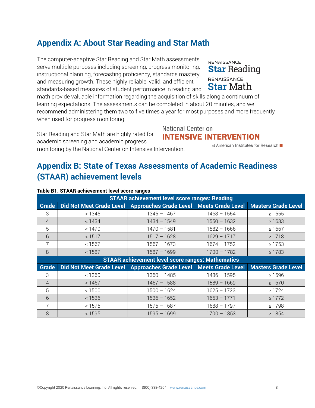# **Appendix A: About Star Reading and Star Math**

The computer-adaptive Star Reading and Star Math assessments serve multiple purposes including screening, progress monitoring, instructional planning, forecasting proficiency, standards mastery, and measuring growth. These highly reliable, valid, and efficient standards-based measures of student performance in reading and

math provide valuable information regarding the acquisition of skills along a continuum of learning expectations. The assessments can be completed in about 20 minutes, and we recommend administering them two to five times a year for most purposes and more frequently when used for progress monitoring.

National Center on Star Reading and Star Math are highly rated for **INTENSIVE INTERVENTION** academic screening and academic progress monitoring by the National Center on Intensive Intervention.

# **Appendix B: State of Texas Assessments of Academic Readiness (STAAR) achievement levels**

| <b>STAAR achievement level score ranges: Reading</b>     |                                 |                                            |               |                            |  |
|----------------------------------------------------------|---------------------------------|--------------------------------------------|---------------|----------------------------|--|
| <b>Grade</b>                                             | <b>Did Not Meet Grade Level</b> | Approaches Grade Level   Meets Grade Level |               | <b>Masters Grade Level</b> |  |
| 3                                                        | < 1345                          | $1345 - 1467$                              | $1468 - 1554$ | $\geq 1555$                |  |
| $\overline{4}$                                           | < 1434                          | $1434 - 1549$                              | $1550 - 1632$ | $\geq 1633$                |  |
| 5                                                        | < 1470                          | $1470 - 1581$                              | $1582 - 1666$ | $\geq 1667$                |  |
| 6                                                        | < 1517                          | $1517 - 1628$                              | $1629 - 1717$ | $\geq 1718$                |  |
| 7                                                        | < 1567                          | $1567 - 1673$                              | $1674 - 1752$ | $\geq 1753$                |  |
| 8                                                        | < 1587                          | $1587 - 1699$                              | $1700 - 1782$ | $\geq 1783$                |  |
| <b>STAAR achievement level score ranges: Mathematics</b> |                                 |                                            |               |                            |  |
|                                                          |                                 |                                            |               |                            |  |
| <b>Grade</b>                                             | Did Not Meet Grade Level        | Approaches Grade Level Meets Grade Level   |               | <b>Masters Grade Level</b> |  |
| 3                                                        | < 1360                          | $1360 - 1485$                              | $1486 - 1595$ | $\geq 1596$                |  |
| $\overline{4}$                                           | < 1467                          | $1467 - 1588$                              | $1589 - 1669$ | $\geq 1670$                |  |
| 5                                                        | < 1500                          | $1500 - 1624$                              | $1625 - 1723$ | $\geq$ 1724                |  |
| 6                                                        | < 1536                          | $1536 - 1652$                              | $1653 - 1771$ | $\geq$ 1772                |  |
| $\overline{7}$                                           | < 1575                          | $1575 - 1687$                              | $1688 - 1797$ | $\geq 1798$                |  |

### **Table B1. STAAR achievement level score ranges**

### **RENAISSANCE Star Reading** RENAISSANCE **Star Math**

at American Institutes for Research ■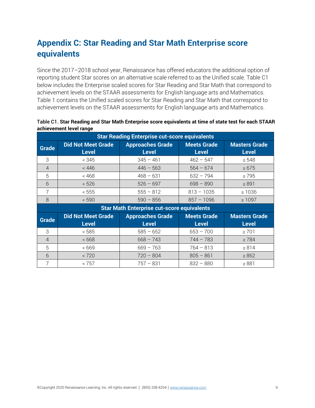# **Appendix C: Star Reading and Star Math Enterprise score equivalents**

Since the 2017–2018 school year, Renaissance has offered educators the additional option of reporting student Star scores on an alternative scale referred to as the Unified scale. Table C1 below includes the Enterprise scaled scores for Star Reading and Star Math that correspond to achievement levels on the STAAR assessments for English language arts and Mathematics. Table 1 contains the Unified scaled scores for Star Reading and Star Math that correspond to achievement levels on the STAAR assessments for English language arts and Mathematics.

| <b>Star Reading Enterprise cut-score equivalents</b> |                                           |                                         |                                    |                                      |  |
|------------------------------------------------------|-------------------------------------------|-----------------------------------------|------------------------------------|--------------------------------------|--|
| <b>Grade</b>                                         | <b>Did Not Meet Grade</b><br><b>Level</b> | <b>Approaches Grade</b><br><b>Level</b> | <b>Meets Grade</b><br><b>Level</b> | <b>Masters Grade</b><br><b>Level</b> |  |
| 3                                                    | < 345                                     | $345 - 461$                             | $462 - 547$                        | $\geq 548$                           |  |
| $\overline{4}$                                       | < 446                                     | $446 - 563$                             | $564 - 674$                        | $\geq 675$                           |  |
| 5                                                    | < 468                                     | $468 - 631$                             | $632 - 794$                        | $\geq 795$                           |  |
| 6                                                    | < 526                                     | $526 - 697$                             | $698 - 890$                        | $\geq 891$                           |  |
| $\overline{7}$                                       | < 555                                     | $555 - 812$                             | $813 - 1035$                       | $\geq 1036$                          |  |
| 8                                                    | < 590                                     | $590 - 856$                             | $857 - 1096$                       | $\geq 1097$                          |  |
| <b>Star Math Enterprise cut-score equivalents</b>    |                                           |                                         |                                    |                                      |  |
| <b>Grade</b>                                         | <b>Did Not Meet Grade</b>                 | <b>Approaches Grade</b>                 | <b>Meets Grade</b>                 | <b>Masters Grade</b>                 |  |
|                                                      | <b>Level</b>                              | <b>Level</b>                            | <b>Level</b>                       | <b>Level</b>                         |  |
| 3                                                    | < 585                                     | $585 - 652$                             | $653 - 700$                        | $\geq 701$                           |  |
| $\overline{4}$                                       | <668                                      | $668 - 743$                             | $744 - 783$                        | $\geq 784$                           |  |
| 5                                                    | <669                                      | $669 - 763$                             | $764 - 813$                        | $\geq 814$                           |  |
| 6                                                    | < 720                                     | $720 - 804$                             | $805 - 861$                        | $\geq 862$                           |  |
| 7                                                    | < 757                                     | $757 - 831$                             | $832 - 880$                        | $\geq 881$                           |  |

Table C1. **Star Reading and Star Math Enterprise score equivalents at time of state test for each STAAR achievement level range**